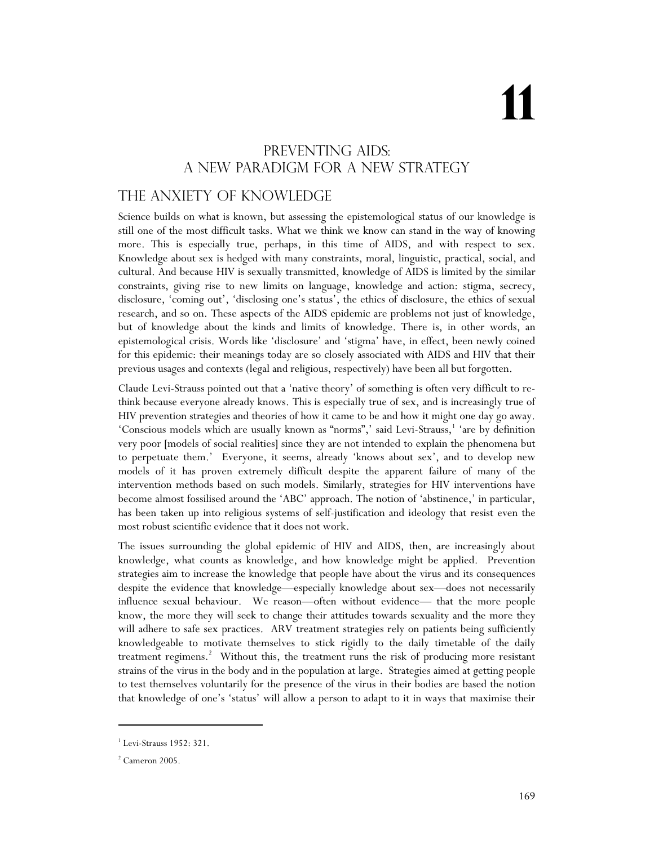# **11**

## PREVENTING AIDS: A new paradigm for a new strategy

## The Anxiety of Knowledge

Science builds on what is known, but assessing the epistemological status of our knowledge is still one of the most difficult tasks. What we think we know can stand in the way of knowing more. This is especially true, perhaps, in this time of AIDS, and with respect to sex. Knowledge about sex is hedged with many constraints, moral, linguistic, practical, social, and cultural. And because HIV is sexually transmitted, knowledge of AIDS is limited by the similar constraints, giving rise to new limits on language, knowledge and action: stigma, secrecy, disclosure, 'coming out', 'disclosing one's status', the ethics of disclosure, the ethics of sexual research, and so on. These aspects of the AIDS epidemic are problems not just of knowledge, but of knowledge about the kinds and limits of knowledge. There is, in other words, an epistemological crisis. Words like 'disclosure' and 'stigma' have, in effect, been newly coined for this epidemic: their meanings today are so closely associated with AIDS and HIV that their previous usages and contexts (legal and religious, respectively) have been all but forgotten.

Claude Levi-Strauss pointed out that a 'native theory' of something is often very difficult to rethink because everyone already knows. This is especially true of sex, and is increasingly true of HIV prevention strategies and theories of how it came to be and how it might one day go away. 'Conscious models which are usually known as "norms",' said Levi-Strauss,<sup>1</sup> 'are by definition very poor [models of social realities] since they are not intended to explain the phenomena but to perpetuate them.' Everyone, it seems, already 'knows about sex', and to develop new models of it has proven extremely difficult despite the apparent failure of many of the intervention methods based on such models. Similarly, strategies for HIV interventions have become almost fossilised around the 'ABC' approach. The notion of 'abstinence,' in particular, has been taken up into religious systems of self-justification and ideology that resist even the most robust scientific evidence that it does not work.

The issues surrounding the global epidemic of HIV and AIDS, then, are increasingly about knowledge, what counts as knowledge, and how knowledge might be applied. Prevention strategies aim to increase the knowledge that people have about the virus and its consequences despite the evidence that knowledge—especially knowledge about sex—does not necessarily influence sexual behaviour. We reason—often without evidence— that the more people know, the more they will seek to change their attitudes towards sexuality and the more they will adhere to safe sex practices. ARV treatment strategies rely on patients being sufficiently knowledgeable to motivate themselves to stick rigidly to the daily timetable of the daily treatment regimens.<sup>2</sup> Without this, the treatment runs the risk of producing more resistant strains of the virus in the body and in the population at large. Strategies aimed at getting people to test themselves voluntarily for the presence of the virus in their bodies are based the notion that knowledge of one's 'status' will allow a person to adapt to it in ways that maximise their

 $\overline{a}$ 

<sup>1</sup> Levi-Strauss 1952: 321.

 $2$  Cameron 2005.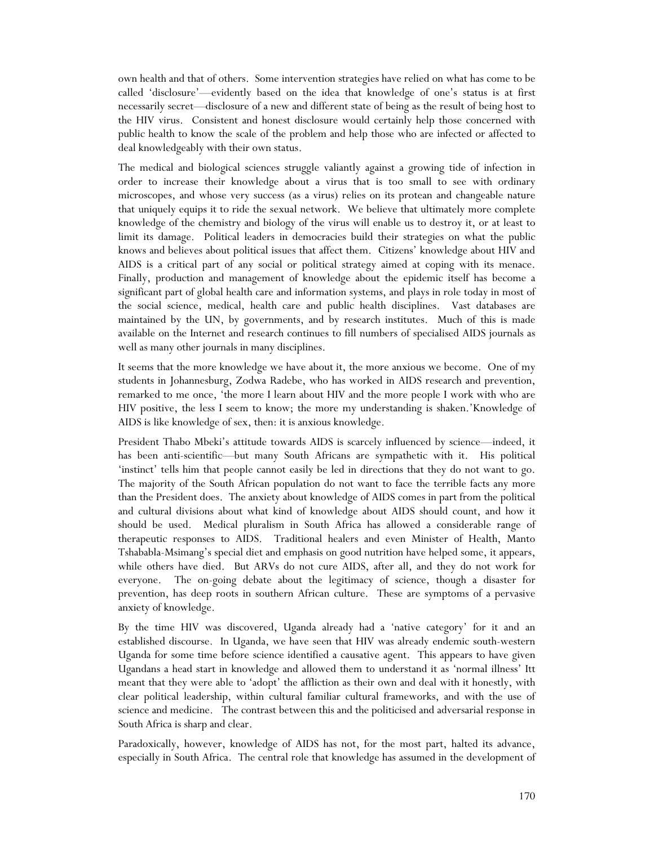own health and that of others. Some intervention strategies have relied on what has come to be called 'disclosure'—evidently based on the idea that knowledge of one's status is at first necessarily secret—disclosure of a new and different state of being as the result of being host to the HIV virus. Consistent and honest disclosure would certainly help those concerned with public health to know the scale of the problem and help those who are infected or affected to deal knowledgeably with their own status.

The medical and biological sciences struggle valiantly against a growing tide of infection in order to increase their knowledge about a virus that is too small to see with ordinary microscopes, and whose very success (as a virus) relies on its protean and changeable nature that uniquely equips it to ride the sexual network. We believe that ultimately more complete knowledge of the chemistry and biology of the virus will enable us to destroy it, or at least to limit its damage. Political leaders in democracies build their strategies on what the public knows and believes about political issues that affect them. Citizens' knowledge about HIV and AIDS is a critical part of any social or political strategy aimed at coping with its menace. Finally, production and management of knowledge about the epidemic itself has become a significant part of global health care and information systems, and plays in role today in most of the social science, medical, health care and public health disciplines. Vast databases are maintained by the UN, by governments, and by research institutes. Much of this is made available on the Internet and research continues to fill numbers of specialised AIDS journals as well as many other journals in many disciplines.

It seems that the more knowledge we have about it, the more anxious we become. One of my students in Johannesburg, Zodwa Radebe, who has worked in AIDS research and prevention, remarked to me once, 'the more I learn about HIV and the more people I work with who are HIV positive, the less I seem to know; the more my understanding is shaken.'Knowledge of AIDS is like knowledge of sex, then: it is anxious knowledge.

President Thabo Mbeki's attitude towards AIDS is scarcely influenced by science—indeed, it has been anti-scientific—but many South Africans are sympathetic with it. His political 'instinct' tells him that people cannot easily be led in directions that they do not want to go. The majority of the South African population do not want to face the terrible facts any more than the President does. The anxiety about knowledge of AIDS comes in part from the political and cultural divisions about what kind of knowledge about AIDS should count, and how it should be used. Medical pluralism in South Africa has allowed a considerable range of therapeutic responses to AIDS. Traditional healers and even Minister of Health, Manto Tshababla-Msimang's special diet and emphasis on good nutrition have helped some, it appears, while others have died. But ARVs do not cure AIDS, after all, and they do not work for everyone. The on-going debate about the legitimacy of science, though a disaster for prevention, has deep roots in southern African culture. These are symptoms of a pervasive anxiety of knowledge.

By the time HIV was discovered, Uganda already had a 'native category' for it and an established discourse. In Uganda, we have seen that HIV was already endemic south-western Uganda for some time before science identified a causative agent. This appears to have given Ugandans a head start in knowledge and allowed them to understand it as 'normal illness' Itt meant that they were able to 'adopt' the affliction as their own and deal with it honestly, with clear political leadership, within cultural familiar cultural frameworks, and with the use of science and medicine. The contrast between this and the politicised and adversarial response in South Africa is sharp and clear.

Paradoxically, however, knowledge of AIDS has not, for the most part, halted its advance, especially in South Africa. The central role that knowledge has assumed in the development of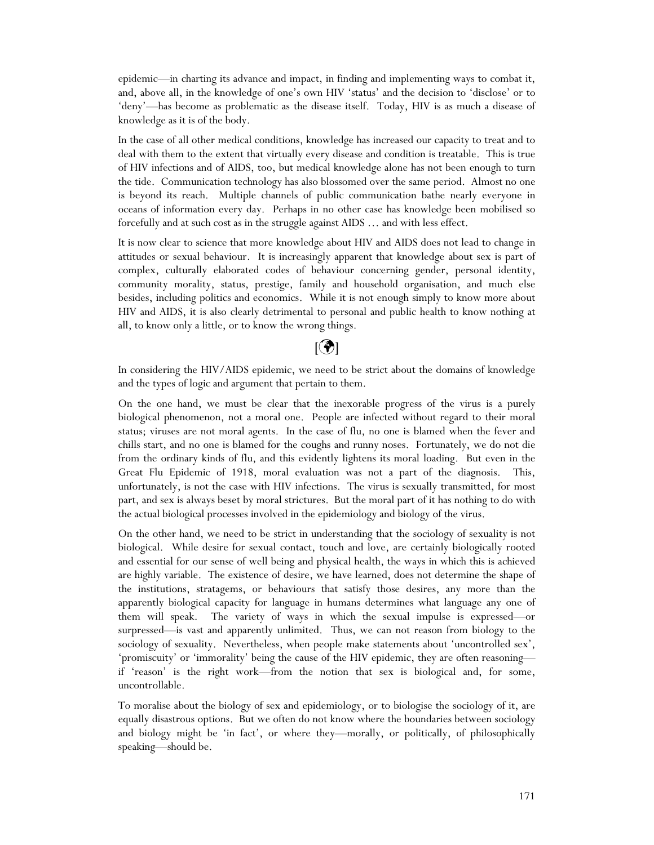epidemic—in charting its advance and impact, in finding and implementing ways to combat it, and, above all, in the knowledge of one's own HIV 'status' and the decision to 'disclose' or to 'deny'—has become as problematic as the disease itself. Today, HIV is as much a disease of knowledge as it is of the body.

In the case of all other medical conditions, knowledge has increased our capacity to treat and to deal with them to the extent that virtually every disease and condition is treatable. This is true of HIV infections and of AIDS, too, but medical knowledge alone has not been enough to turn the tide. Communication technology has also blossomed over the same period. Almost no one is beyond its reach. Multiple channels of public communication bathe nearly everyone in oceans of information every day. Perhaps in no other case has knowledge been mobilised so forcefully and at such cost as in the struggle against AIDS … and with less effect.

It is now clear to science that more knowledge about HIV and AIDS does not lead to change in attitudes or sexual behaviour. It is increasingly apparent that knowledge about sex is part of complex, culturally elaborated codes of behaviour concerning gender, personal identity, community morality, status, prestige, family and household organisation, and much else besides, including politics and economics. While it is not enough simply to know more about HIV and AIDS, it is also clearly detrimental to personal and public health to know nothing at all, to know only a little, or to know the wrong things.

## $\lbrack \bullet \rbrack$

In considering the HIV/AIDS epidemic, we need to be strict about the domains of knowledge and the types of logic and argument that pertain to them.

On the one hand, we must be clear that the inexorable progress of the virus is a purely biological phenomenon, not a moral one. People are infected without regard to their moral status; viruses are not moral agents. In the case of flu, no one is blamed when the fever and chills start, and no one is blamed for the coughs and runny noses. Fortunately, we do not die from the ordinary kinds of flu, and this evidently lightens its moral loading. But even in the Great Flu Epidemic of 1918, moral evaluation was not a part of the diagnosis. This, unfortunately, is not the case with HIV infections. The virus is sexually transmitted, for most part, and sex is always beset by moral strictures. But the moral part of it has nothing to do with the actual biological processes involved in the epidemiology and biology of the virus.

On the other hand, we need to be strict in understanding that the sociology of sexuality is not biological. While desire for sexual contact, touch and love, are certainly biologically rooted and essential for our sense of well being and physical health, the ways in which this is achieved are highly variable. The existence of desire, we have learned, does not determine the shape of the institutions, stratagems, or behaviours that satisfy those desires, any more than the apparently biological capacity for language in humans determines what language any one of them will speak. The variety of ways in which the sexual impulse is expressed—or surpressed—is vast and apparently unlimited. Thus, we can not reason from biology to the sociology of sexuality. Nevertheless, when people make statements about 'uncontrolled sex', 'promiscuity' or 'immorality' being the cause of the HIV epidemic, they are often reasoning if 'reason' is the right work—from the notion that sex is biological and, for some, uncontrollable.

To moralise about the biology of sex and epidemiology, or to biologise the sociology of it, are equally disastrous options. But we often do not know where the boundaries between sociology and biology might be 'in fact', or where they—morally, or politically, of philosophically speaking—should be.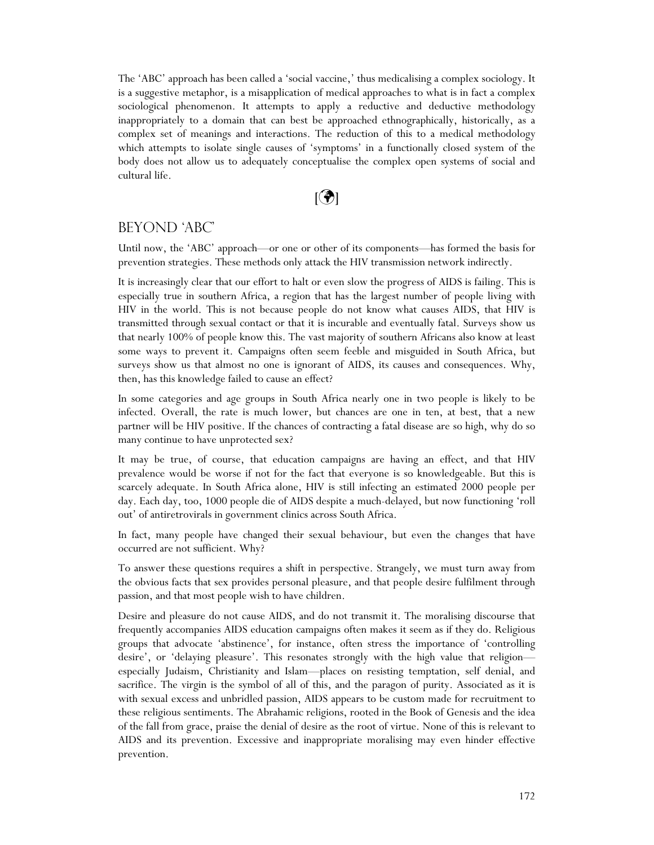The 'ABC' approach has been called a 'social vaccine,' thus medicalising a complex sociology. It is a suggestive metaphor, is a misapplication of medical approaches to what is in fact a complex sociological phenomenon. It attempts to apply a reductive and deductive methodology inappropriately to a domain that can best be approached ethnographically, historically, as a complex set of meanings and interactions. The reduction of this to a medical methodology which attempts to isolate single causes of 'symptoms' in a functionally closed system of the body does not allow us to adequately conceptualise the complex open systems of social and cultural life.



### Beyond 'ABC'

Until now, the 'ABC' approach—or one or other of its components—has formed the basis for prevention strategies. These methods only attack the HIV transmission network indirectly.

It is increasingly clear that our effort to halt or even slow the progress of AIDS is failing. This is especially true in southern Africa, a region that has the largest number of people living with HIV in the world. This is not because people do not know what causes AIDS, that HIV is transmitted through sexual contact or that it is incurable and eventually fatal. Surveys show us that nearly 100% of people know this. The vast majority of southern Africans also know at least some ways to prevent it. Campaigns often seem feeble and misguided in South Africa, but surveys show us that almost no one is ignorant of AIDS, its causes and consequences. Why, then, has this knowledge failed to cause an effect?

In some categories and age groups in South Africa nearly one in two people is likely to be infected. Overall, the rate is much lower, but chances are one in ten, at best, that a new partner will be HIV positive. If the chances of contracting a fatal disease are so high, why do so many continue to have unprotected sex?

It may be true, of course, that education campaigns are having an effect, and that HIV prevalence would be worse if not for the fact that everyone is so knowledgeable. But this is scarcely adequate. In South Africa alone, HIV is still infecting an estimated 2000 people per day. Each day, too, 1000 people die of AIDS despite a much-delayed, but now functioning 'roll out' of antiretrovirals in government clinics across South Africa.

In fact, many people have changed their sexual behaviour, but even the changes that have occurred are not sufficient. Why?

To answer these questions requires a shift in perspective. Strangely, we must turn away from the obvious facts that sex provides personal pleasure, and that people desire fulfilment through passion, and that most people wish to have children.

Desire and pleasure do not cause AIDS, and do not transmit it. The moralising discourse that frequently accompanies AIDS education campaigns often makes it seem as if they do. Religious groups that advocate 'abstinence', for instance, often stress the importance of 'controlling desire', or 'delaying pleasure'. This resonates strongly with the high value that religion especially Judaism, Christianity and Islam—places on resisting temptation, self denial, and sacrifice. The virgin is the symbol of all of this, and the paragon of purity. Associated as it is with sexual excess and unbridled passion, AIDS appears to be custom made for recruitment to these religious sentiments. The Abrahamic religions, rooted in the Book of Genesis and the idea of the fall from grace, praise the denial of desire as the root of virtue. None of this is relevant to AIDS and its prevention. Excessive and inappropriate moralising may even hinder effective prevention.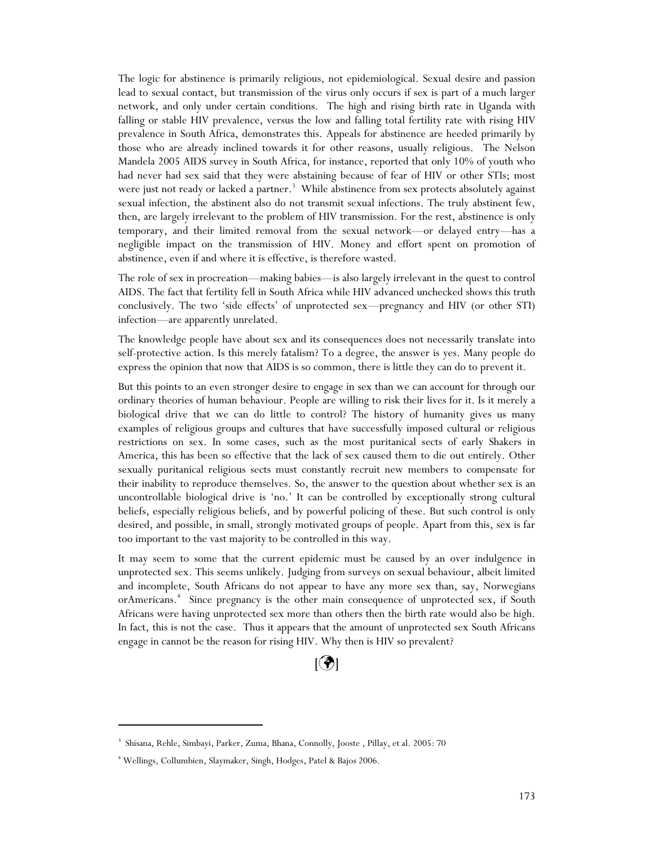The logic for abstinence is primarily religious, not epidemiological. Sexual desire and passion lead to sexual contact, but transmission of the virus only occurs if sex is part of a much larger network, and only under certain conditions. The high and rising birth rate in Uganda with falling or stable HIV prevalence, versus the low and falling total fertility rate with rising HIV prevalence in South Africa, demonstrates this. Appeals for abstinence are heeded primarily by those who are already inclined towards it for other reasons, usually religious. The Nelson Mandela 2005 AIDS survey in South Africa, for instance, reported that only 10% of youth who had never had sex said that they were abstaining because of fear of HIV or other STIs; most were just not ready or lacked a partner.<sup>3</sup> While abstinence from sex protects absolutely against sexual infection, the abstinent also do not transmit sexual infections. The truly abstinent few, then, are largely irrelevant to the problem of HIV transmission. For the rest, abstinence is only temporary, and their limited removal from the sexual network—or delayed entry—has a negligible impact on the transmission of HIV. Money and effort spent on promotion of abstinence, even if and where it is effective, is therefore wasted.

The role of sex in procreation—making babies—is also largely irrelevant in the quest to control AIDS. The fact that fertility fell in South Africa while HIV advanced unchecked shows this truth conclusively. The two 'side effects' of unprotected sex—pregnancy and HIV (or other STI) infection—are apparently unrelated.

The knowledge people have about sex and its consequences does not necessarily translate into self-protective action. Is this merely fatalism? To a degree, the answer is yes. Many people do express the opinion that now that AIDS is so common, there is little they can do to prevent it.

But this points to an even stronger desire to engage in sex than we can account for through our ordinary theories of human behaviour. People are willing to risk their lives for it. Is it merely a biological drive that we can do little to control? The history of humanity gives us many examples of religious groups and cultures that have successfully imposed cultural or religious restrictions on sex. In some cases, such as the most puritanical sects of early Shakers in America, this has been so effective that the lack of sex caused them to die out entirely. Other sexually puritanical religious sects must constantly recruit new members to compensate for their inability to reproduce themselves. So, the answer to the question about whether sex is an uncontrollable biological drive is 'no.' It can be controlled by exceptionally strong cultural beliefs, especially religious beliefs, and by powerful policing of these. But such control is only desired, and possible, in small, strongly motivated groups of people. Apart from this, sex is far too important to the vast majority to be controlled in this way.

It may seem to some that the current epidemic must be caused by an over indulgence in unprotected sex. This seems unlikely. Judging from surveys on sexual behaviour, albeit limited and incomplete, South Africans do not appear to have any more sex than, say, Norwegians orAmericans.<sup>4</sup> Since pregnancy is the other main consequence of unprotected sex, if South Africans were having unprotected sex more than others then the birth rate would also be high. In fact, this is not the case. Thus it appears that the amount of unprotected sex South Africans engage in cannot be the reason for rising HIV. Why then is HIV so prevalent?

# $[(\bullet)]$

 $\overline{a}$ 

<sup>&</sup>lt;sup>3</sup> Shisana, Rehle, Simbayi, Parker, Zuma, Bhana, Connolly, Jooste, Pillay, et al. 2005: 70

<sup>4</sup> Wellings, Collumbien, Slaymaker, Singh, Hodges, Patel & Bajos 2006.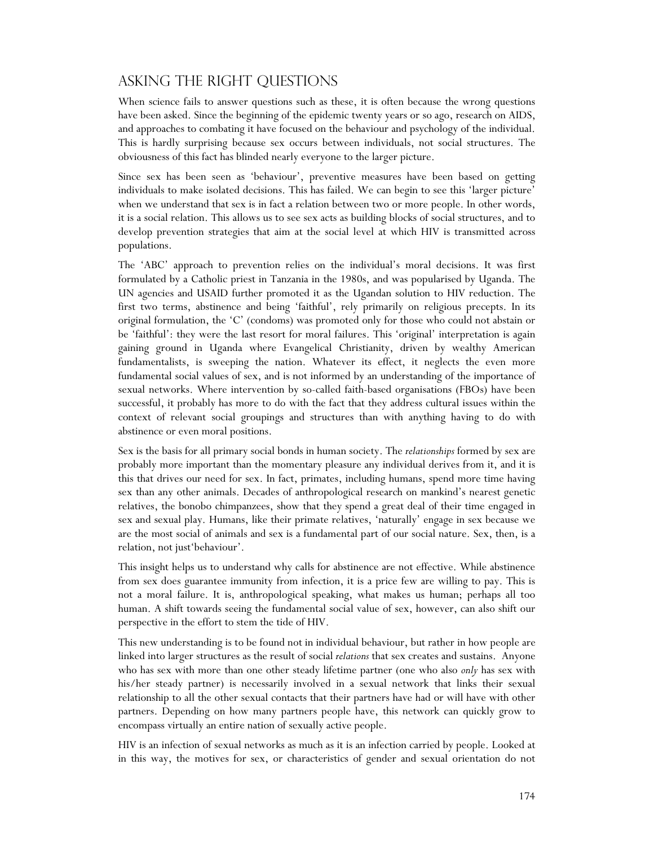# Asking the right questions

When science fails to answer questions such as these, it is often because the wrong questions have been asked. Since the beginning of the epidemic twenty years or so ago, research on AIDS, and approaches to combating it have focused on the behaviour and psychology of the individual. This is hardly surprising because sex occurs between individuals, not social structures. The obviousness of this fact has blinded nearly everyone to the larger picture.

Since sex has been seen as 'behaviour', preventive measures have been based on getting individuals to make isolated decisions. This has failed. We can begin to see this 'larger picture' when we understand that sex is in fact a relation between two or more people. In other words, it is a social relation. This allows us to see sex acts as building blocks of social structures, and to develop prevention strategies that aim at the social level at which HIV is transmitted across populations.

The 'ABC' approach to prevention relies on the individual's moral decisions. It was first formulated by a Catholic priest in Tanzania in the 1980s, and was popularised by Uganda. The UN agencies and USAID further promoted it as the Ugandan solution to HIV reduction. The first two terms, abstinence and being 'faithful', rely primarily on religious precepts. In its original formulation, the 'C' (condoms) was promoted only for those who could not abstain or be 'faithful': they were the last resort for moral failures. This 'original' interpretation is again gaining ground in Uganda where Evangelical Christianity, driven by wealthy American fundamentalists, is sweeping the nation. Whatever its effect, it neglects the even more fundamental social values of sex, and is not informed by an understanding of the importance of sexual networks. Where intervention by so-called faith-based organisations (FBOs) have been successful, it probably has more to do with the fact that they address cultural issues within the context of relevant social groupings and structures than with anything having to do with abstinence or even moral positions.

Sex is the basis for all primary social bonds in human society. The *relationships* formed by sex are probably more important than the momentary pleasure any individual derives from it, and it is this that drives our need for sex. In fact, primates, including humans, spend more time having sex than any other animals. Decades of anthropological research on mankind's nearest genetic relatives, the bonobo chimpanzees, show that they spend a great deal of their time engaged in sex and sexual play. Humans, like their primate relatives, 'naturally' engage in sex because we are the most social of animals and sex is a fundamental part of our social nature. Sex, then, is a relation, not just'behaviour'.

This insight helps us to understand why calls for abstinence are not effective. While abstinence from sex does guarantee immunity from infection, it is a price few are willing to pay. This is not a moral failure. It is, anthropological speaking, what makes us human; perhaps all too human. A shift towards seeing the fundamental social value of sex, however, can also shift our perspective in the effort to stem the tide of HIV.

This new understanding is to be found not in individual behaviour, but rather in how people are linked into larger structures as the result of social *relations* that sex creates and sustains. Anyone who has sex with more than one other steady lifetime partner (one who also *only* has sex with his/her steady partner) is necessarily involved in a sexual network that links their sexual relationship to all the other sexual contacts that their partners have had or will have with other partners. Depending on how many partners people have, this network can quickly grow to encompass virtually an entire nation of sexually active people.

HIV is an infection of sexual networks as much as it is an infection carried by people. Looked at in this way, the motives for sex, or characteristics of gender and sexual orientation do not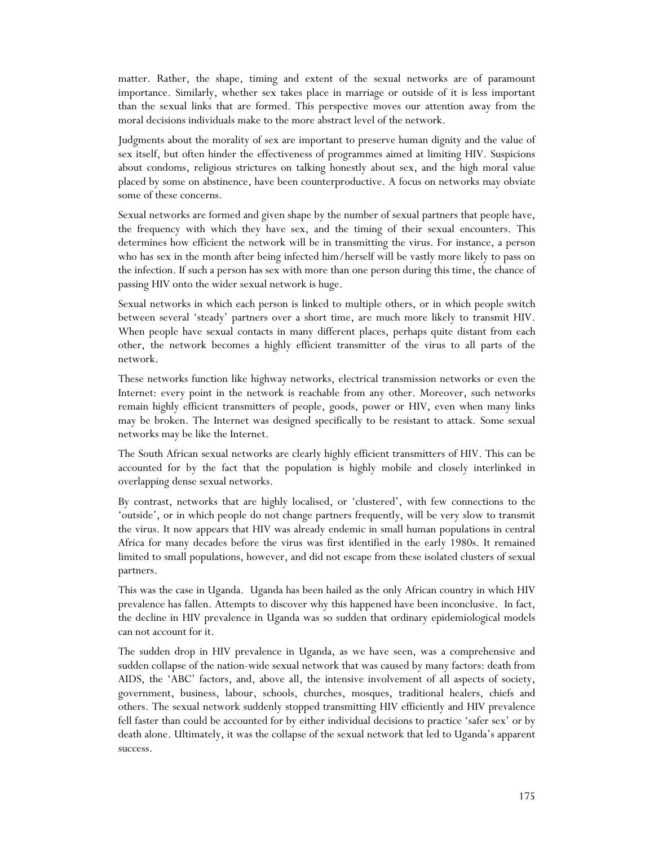matter. Rather, the shape, timing and extent of the sexual networks are of paramount importance. Similarly, whether sex takes place in marriage or outside of it is less important than the sexual links that are formed. This perspective moves our attention away from the moral decisions individuals make to the more abstract level of the network.

Judgments about the morality of sex are important to preserve human dignity and the value of sex itself, but often hinder the effectiveness of programmes aimed at limiting HIV. Suspicions about condoms, religious strictures on talking honestly about sex, and the high moral value placed by some on abstinence, have been counterproductive. A focus on networks may obviate some of these concerns.

Sexual networks are formed and given shape by the number of sexual partners that people have, the frequency with which they have sex, and the timing of their sexual encounters. This determines how efficient the network will be in transmitting the virus. For instance, a person who has sex in the month after being infected him/herself will be vastly more likely to pass on the infection. If such a person has sex with more than one person during this time, the chance of passing HIV onto the wider sexual network is huge.

Sexual networks in which each person is linked to multiple others, or in which people switch between several 'steady' partners over a short time, are much more likely to transmit HIV. When people have sexual contacts in many different places, perhaps quite distant from each other, the network becomes a highly efficient transmitter of the virus to all parts of the network.

These networks function like highway networks, electrical transmission networks or even the Internet: every point in the network is reachable from any other. Moreover, such networks remain highly efficient transmitters of people, goods, power or HIV, even when many links may be broken. The Internet was designed specifically to be resistant to attack. Some sexual networks may be like the Internet.

The South African sexual networks are clearly highly efficient transmitters of HIV. This can be accounted for by the fact that the population is highly mobile and closely interlinked in overlapping dense sexual networks.

By contrast, networks that are highly localised, or 'clustered', with few connections to the 'outside', or in which people do not change partners frequently, will be very slow to transmit the virus. It now appears that HIV was already endemic in small human populations in central Africa for many decades before the virus was first identified in the early 1980s. It remained limited to small populations, however, and did not escape from these isolated clusters of sexual partners.

This was the case in Uganda. Uganda has been hailed as the only African country in which HIV prevalence has fallen. Attempts to discover why this happened have been inconclusive. In fact, the decline in HIV prevalence in Uganda was so sudden that ordinary epidemiological models can not account for it.

The sudden drop in HIV prevalence in Uganda, as we have seen, was a comprehensive and sudden collapse of the nation-wide sexual network that was caused by many factors: death from AIDS, the 'ABC' factors, and, above all, the intensive involvement of all aspects of society, government, business, labour, schools, churches, mosques, traditional healers, chiefs and others. The sexual network suddenly stopped transmitting HIV efficiently and HIV prevalence fell faster than could be accounted for by either individual decisions to practice 'safer sex' or by death alone. Ultimately, it was the collapse of the sexual network that led to Uganda's apparent success.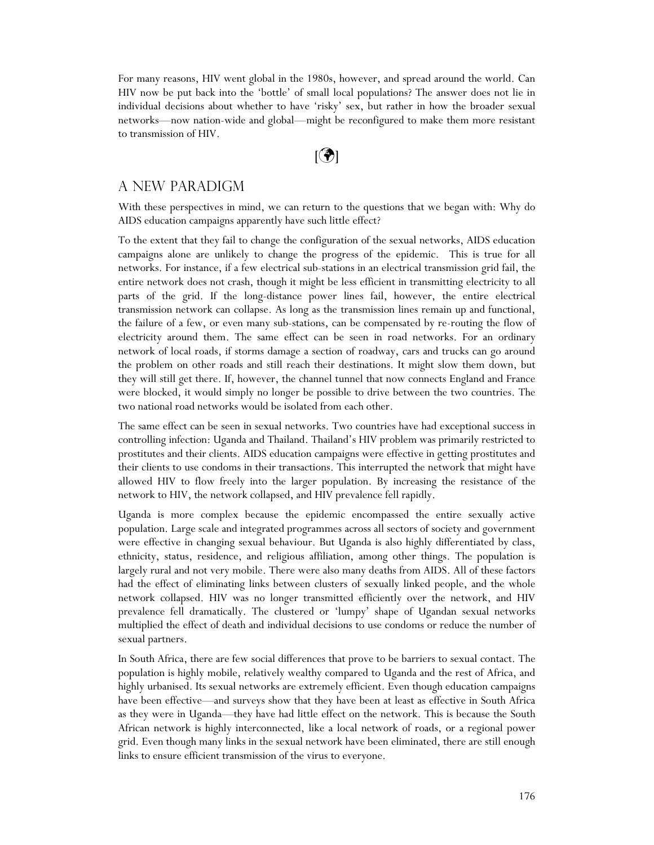For many reasons, HIV went global in the 1980s, however, and spread around the world. Can HIV now be put back into the 'bottle' of small local populations? The answer does not lie in individual decisions about whether to have 'risky' sex, but rather in how the broader sexual networks—now nation-wide and global—might be reconfigured to make them more resistant to transmission of HIV.



### A New paradigm

With these perspectives in mind, we can return to the questions that we began with: Why do AIDS education campaigns apparently have such little effect?

To the extent that they fail to change the configuration of the sexual networks, AIDS education campaigns alone are unlikely to change the progress of the epidemic. This is true for all networks. For instance, if a few electrical sub-stations in an electrical transmission grid fail, the entire network does not crash, though it might be less efficient in transmitting electricity to all parts of the grid. If the long-distance power lines fail, however, the entire electrical transmission network can collapse. As long as the transmission lines remain up and functional, the failure of a few, or even many sub-stations, can be compensated by re-routing the flow of electricity around them. The same effect can be seen in road networks. For an ordinary network of local roads, if storms damage a section of roadway, cars and trucks can go around the problem on other roads and still reach their destinations. It might slow them down, but they will still get there. If, however, the channel tunnel that now connects England and France were blocked, it would simply no longer be possible to drive between the two countries. The two national road networks would be isolated from each other.

The same effect can be seen in sexual networks. Two countries have had exceptional success in controlling infection: Uganda and Thailand. Thailand's HIV problem was primarily restricted to prostitutes and their clients. AIDS education campaigns were effective in getting prostitutes and their clients to use condoms in their transactions. This interrupted the network that might have allowed HIV to flow freely into the larger population. By increasing the resistance of the network to HIV, the network collapsed, and HIV prevalence fell rapidly.

Uganda is more complex because the epidemic encompassed the entire sexually active population. Large scale and integrated programmes across all sectors of society and government were effective in changing sexual behaviour. But Uganda is also highly differentiated by class, ethnicity, status, residence, and religious affiliation, among other things. The population is largely rural and not very mobile. There were also many deaths from AIDS. All of these factors had the effect of eliminating links between clusters of sexually linked people, and the whole network collapsed. HIV was no longer transmitted efficiently over the network, and HIV prevalence fell dramatically. The clustered or 'lumpy' shape of Ugandan sexual networks multiplied the effect of death and individual decisions to use condoms or reduce the number of sexual partners.

In South Africa, there are few social differences that prove to be barriers to sexual contact. The population is highly mobile, relatively wealthy compared to Uganda and the rest of Africa, and highly urbanised. Its sexual networks are extremely efficient. Even though education campaigns have been effective—and surveys show that they have been at least as effective in South Africa as they were in Uganda—they have had little effect on the network. This is because the South African network is highly interconnected, like a local network of roads, or a regional power grid. Even though many links in the sexual network have been eliminated, there are still enough links to ensure efficient transmission of the virus to everyone.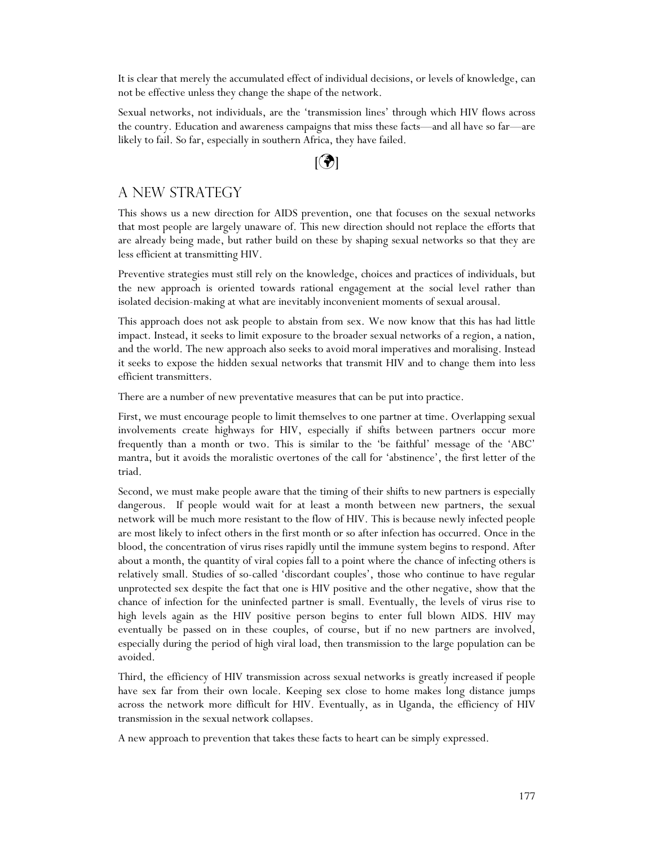It is clear that merely the accumulated effect of individual decisions, or levels of knowledge, can not be effective unless they change the shape of the network.

Sexual networks, not individuals, are the 'transmission lines' through which HIV flows across the country. Education and awareness campaigns that miss these facts—and all have so far—are likely to fail. So far, especially in southern Africa, they have failed.



#### A NEW STRATEGY

This shows us a new direction for AIDS prevention, one that focuses on the sexual networks that most people are largely unaware of. This new direction should not replace the efforts that are already being made, but rather build on these by shaping sexual networks so that they are less efficient at transmitting HIV.

Preventive strategies must still rely on the knowledge, choices and practices of individuals, but the new approach is oriented towards rational engagement at the social level rather than isolated decision-making at what are inevitably inconvenient moments of sexual arousal.

This approach does not ask people to abstain from sex. We now know that this has had little impact. Instead, it seeks to limit exposure to the broader sexual networks of a region, a nation, and the world. The new approach also seeks to avoid moral imperatives and moralising. Instead it seeks to expose the hidden sexual networks that transmit HIV and to change them into less efficient transmitters.

There are a number of new preventative measures that can be put into practice.

First, we must encourage people to limit themselves to one partner at time. Overlapping sexual involvements create highways for HIV, especially if shifts between partners occur more frequently than a month or two. This is similar to the 'be faithful' message of the 'ABC' mantra, but it avoids the moralistic overtones of the call for 'abstinence', the first letter of the triad.

Second, we must make people aware that the timing of their shifts to new partners is especially dangerous. If people would wait for at least a month between new partners, the sexual network will be much more resistant to the flow of HIV. This is because newly infected people are most likely to infect others in the first month or so after infection has occurred. Once in the blood, the concentration of virus rises rapidly until the immune system begins to respond. After about a month, the quantity of viral copies fall to a point where the chance of infecting others is relatively small. Studies of so-called 'discordant couples', those who continue to have regular unprotected sex despite the fact that one is HIV positive and the other negative, show that the chance of infection for the uninfected partner is small. Eventually, the levels of virus rise to high levels again as the HIV positive person begins to enter full blown AIDS. HIV may eventually be passed on in these couples, of course, but if no new partners are involved, especially during the period of high viral load, then transmission to the large population can be avoided.

Third, the efficiency of HIV transmission across sexual networks is greatly increased if people have sex far from their own locale. Keeping sex close to home makes long distance jumps across the network more difficult for HIV. Eventually, as in Uganda, the efficiency of HIV transmission in the sexual network collapses.

A new approach to prevention that takes these facts to heart can be simply expressed.